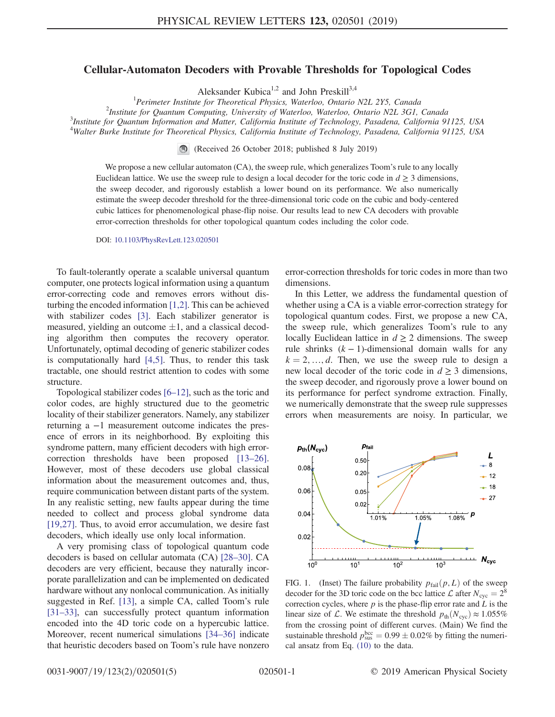## Cellular-Automaton Decoders with Provable Thresholds for Topological Codes

Aleksander Kubica<sup>1,2</sup> and John Preskill<sup>3,4</sup>

<sup>1</sup> Perimeter Institute for Theoretical Physics, Waterloo, Ontario N2L 2Y5, Canada<sup>2</sup><br><sup>2</sup>Institute for Quantum Computing, University of Waterloo, Waterloo, Ontario N2L 3CL

<sup>2</sup>Institute for Quantum Computing, University of Waterloo, Waterloo, Ontario N2L 3G1, Canada

Institute for Quantum Information and Matter, California Institute of Technology, Pasadena, California 91125, USA <sup>4</sup>Walter Burke Institute for Theoretical Physics, California Institute of Technology, Pasadena, California 91125, USA

(Received 26 October 2018; published 8 July 2019)

We propose a new cellular automaton (CA), the sweep rule, which generalizes Toom's rule to any locally Euclidean lattice. We use the sweep rule to design a local decoder for the toric code in  $d \geq 3$  dimensions, the sweep decoder, and rigorously establish a lower bound on its performance. We also numerically estimate the sweep decoder threshold for the three-dimensional toric code on the cubic and body-centered cubic lattices for phenomenological phase-flip noise. Our results lead to new CA decoders with provable error-correction thresholds for other topological quantum codes including the color code.

DOI: [10.1103/PhysRevLett.123.020501](https://doi.org/10.1103/PhysRevLett.123.020501)

To fault-tolerantly operate a scalable universal quantum computer, one protects logical information using a quantum error-correcting code and removes errors without disturbing the encoded information [\[1,2\].](#page-4-0) This can be achieved with stabilizer codes [\[3\].](#page-4-1) Each stabilizer generator is measured, yielding an outcome  $\pm 1$ , and a classical decoding algorithm then computes the recovery operator. Unfortunately, optimal decoding of generic stabilizer codes is computationally hard [\[4,5\].](#page-4-2) Thus, to render this task tractable, one should restrict attention to codes with some structure.

Topological stabilizer codes [6–[12\]](#page-4-3), such as the toric and color codes, are highly structured due to the geometric locality of their stabilizer generators. Namely, any stabilizer returning a −1 measurement outcome indicates the presence of errors in its neighborhood. By exploiting this syndrome pattern, many efficient decoders with high errorcorrection thresholds have been proposed [\[13](#page-4-4)–26]. However, most of these decoders use global classical information about the measurement outcomes and, thus, require communication between distant parts of the system. In any realistic setting, new faults appear during the time needed to collect and process global syndrome data [\[19,27\]](#page-4-5). Thus, to avoid error accumulation, we desire fast decoders, which ideally use only local information.

A very promising class of topological quantum code decoders is based on cellular automata (CA) [28–[30\].](#page-4-6) CA decoders are very efficient, because they naturally incorporate parallelization and can be implemented on dedicated hardware without any nonlocal communication. As initially suggested in Ref. [\[13\]](#page-4-4), a simple CA, called Toom's rule [\[31](#page-4-7)–33], can successfully protect quantum information encoded into the 4D toric code on a hypercubic lattice. Moreover, recent numerical simulations [34–[36\]](#page-4-8) indicate that heuristic decoders based on Toom's rule have nonzero error-correction thresholds for toric codes in more than two dimensions.

In this Letter, we address the fundamental question of whether using a CA is a viable error-correction strategy for topological quantum codes. First, we propose a new CA, the sweep rule, which generalizes Toom's rule to any locally Euclidean lattice in  $d \geq 2$  dimensions. The sweep rule shrinks  $(k - 1)$ -dimensional domain walls for any  $k = 2, \ldots, d$ . Then, we use the sweep rule to design a new local decoder of the toric code in  $d \geq 3$  dimensions, the sweep decoder, and rigorously prove a lower bound on its performance for perfect syndrome extraction. Finally, we numerically demonstrate that the sweep rule suppresses errors when measurements are noisy. In particular, we

<span id="page-0-0"></span>

FIG. 1. (Inset) The failure probability  $p_{fail}(p, L)$  of the sweep decoder for the 3D toric code on the bcc lattice  $\mathcal{L}$  after  $N_{\text{cyc}} = 2^8$ correction cycles, where  $p$  is the phase-flip error rate and  $L$  is the linear size of L. We estimate the threshold  $p_{\text{th}}(N_{\text{cyc}}) \approx 1.055\%$ from the crossing point of different curves. (Main) We find the sustainable threshold  $p_{\text{uss}}^{\text{bcc}} = 0.99 \pm 0.02\%$  by fitting the numeri-<br>cal ansatz from Eq. (10) to the data cal ansatz from Eq. [\(10\)](#page-3-0) to the data.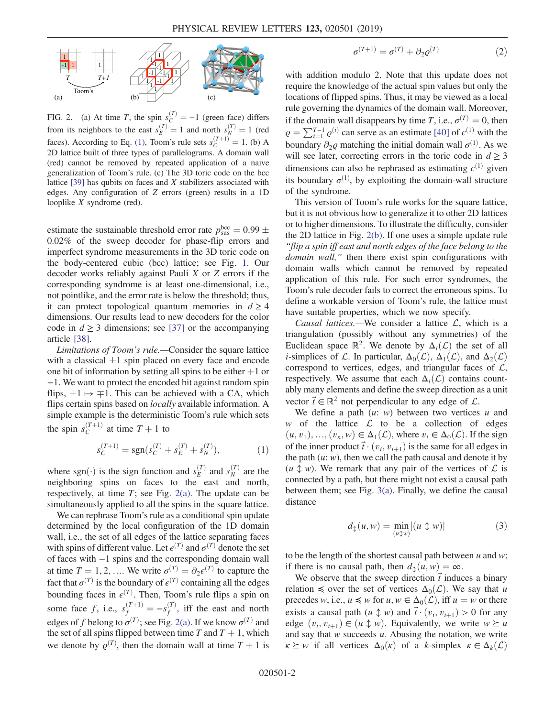<span id="page-1-0"></span>

FIG. 2. (a) At time T, the spin  $s_C^{(T)} = -1$  (green face) differs from its neighbors to the east  $s_E^{(T)} = 1$  and north  $s_N^{(T)} = 1$  (red<br>faces). According to Eq. [\(1\),](#page-1-1) Toom's rule sets  $s_C^{(T+1)} = 1$ . (b) A<br>2D lattice built of three types of parallelograms. A domain wall 2D lattice built of three types of parallelograms. A domain wall (red) cannot be removed by repeated application of a naive generalization of Toom's rule. (c) The 3D toric code on the bcc lattice  $[39]$  has qubits on faces and X stabilizers associated with edges. Any configuration of Z errors (green) results in a 1D looplike X syndrome (red).

estimate the sustainable threshold error rate  $p_{\text{sus}}^{\text{bcc}} = 0.99 \pm 0.02\%$  of the sweep decoder for phase-flip errors and 0.02% of the sweep decoder for phase-flip errors and imperfect syndrome measurements in the 3D toric code on the body-centered cubic (bcc) lattice; see Fig. [1](#page-0-0). Our decoder works reliably against Pauli X or Z errors if the corresponding syndrome is at least one-dimensional, i.e., not pointlike, and the error rate is below the threshold; thus, it can protect topological quantum memories in  $d \geq 4$ dimensions. Our results lead to new decoders for the color code in  $d \geq 3$  dimensions; see [\[37\]](#page-4-9) or the accompanying article [\[38\].](#page-4-10)

Limitations of Toom's rule.—Consider the square lattice with a classical  $\pm 1$  spin placed on every face and encode one bit of information by setting all spins to be either  $+1$  or −1. We want to protect the encoded bit against random spin flips,  $\pm 1 \mapsto \mp 1$ . This can be achieved with a CA, which flips certain spins based on *locally* available information. A simple example is the deterministic Toom's rule which sets the spin  $s_C^{(T+1)}$  at time  $T + 1$  to

$$
s_C^{(T+1)} = \text{sgn}(s_C^{(T)} + s_E^{(T)} + s_N^{(T)}),\tag{1}
$$

<span id="page-1-1"></span>where sgn( $\cdot$ ) is the sign function and  $s_E^{(T)}$  and  $s_N^{(T)}$  are the neighboring spins on faces to the east and north neighboring spins on faces to the east and north, respectively, at time  $T$ ; see Fig. [2\(a\).](#page-1-0) The update can be simultaneously applied to all the spins in the square lattice.

We can rephrase Toom's rule as a conditional spin update determined by the local configuration of the 1D domain wall, i.e., the set of all edges of the lattice separating faces with spins of different value. Let  $\epsilon^{(T)}$  and  $\sigma^{(T)}$  denote the set of faces with −1 spins and the corresponding domain wall at time  $T = 1, 2, ...$  We write  $\sigma^{(T)} = \partial_2 \epsilon^{(T)}$  to capture the fact that  $\sigma^{(T)}$  is the boundary of  $\epsilon^{(T)}$  containing all the edges bounding faces in  $\epsilon^{(T)}$ . Then, Toom's rule flips a spin on some face f, i.e.,  $s_f^{(T+1)} = -s_f^{(T)}$ , iff the east and north edges of f belong to  $\sigma^{(T)}$ ; see Fig. [2\(a\).](#page-1-0) If we know  $\sigma^{(T)}$  and the set of all spins flipped between time T and  $T + 1$ , which we denote by  $\varrho^{(T)}$ , then the domain wall at time  $T + 1$  is

$$
\sigma^{(T+1)} = \sigma^{(T)} + \partial_2 \varrho^{(T)} \tag{2}
$$

with addition modulo 2. Note that this update does not require the knowledge of the actual spin values but only the locations of flipped spins. Thus, it may be viewed as a local rule governing the dynamics of the domain wall. Moreover, if the domain wall disappears by time T, i.e.,  $\sigma^{(T)} = 0$ , then  $\rho = \sum_{i=1}^{T-1} \rho^{(i)}$  can serve as an estimate [\[40\]](#page-4-11) of  $\varepsilon^{(1)}$  with the boundary  $\partial_2 \varrho$  matching the initial domain wall  $\sigma^{(1)}$ . As we will see later, correcting errors in the toric code in  $d \geq 3$ dimensions can also be rephrased as estimating  $\epsilon^{(1)}$  given its boundary  $\sigma^{(1)}$ , by exploiting the domain-wall structure of the syndrome.

This version of Toom's rule works for the square lattice, but it is not obvious how to generalize it to other 2D lattices or to higher dimensions. To illustrate the difficulty, consider the 2D lattice in Fig. [2\(b\).](#page-1-0) If one uses a simple update rule "flip a spin iff east and north edges of the face belong to the domain wall," then there exist spin configurations with domain walls which cannot be removed by repeated application of this rule. For such error syndromes, the Toom's rule decoder fails to correct the erroneous spins. To define a workable version of Toom's rule, the lattice must have suitable properties, which we now specify.

Causal lattices.—We consider a lattice  $\mathcal{L}$ , which is a triangulation (possibly without any symmetries) of the Euclidean space  $\mathbb{R}^2$ . We denote by  $\Delta_i(\mathcal{L})$  the set of all *i*-simplices of L. In particular,  $\Delta_0(\mathcal{L})$ ,  $\Delta_1(\mathcal{L})$ , and  $\Delta_2(\mathcal{L})$ correspond to vertices, edges, and triangular faces of  $\mathcal{L}$ , respectively. We assume that each  $\Delta_i(\mathcal{L})$  contains countably many elements and define the sweep direction as a unit vector  $\vec{t} \in \mathbb{R}^2$  not perpendicular to any edge of  $\mathcal{L}$ .

We define a path  $(u: w)$  between two vertices u and w of the lattice  $\mathcal L$  to be a collection of edges  $(u, v_1), ..., (v_n, w) \in \Delta_1(\mathcal{L})$ , where  $v_i \in \Delta_0(\mathcal{L})$ . If the sign of the inner product  $\vec{t} \cdot (v_i, v_{i+1})$  is the same for all edges in the path  $(u: w)$ , then we call the path causal and denote it by  $(u \uparrow w)$ . We remark that any pair of the vertices of  $\mathcal L$  is connected by a path, but there might not exist a causal path between them; see Fig. [3\(a\).](#page-2-0) Finally, we define the causal distance

$$
d_{\updownarrow}(u, w) = \min_{(u \updownarrow w)} |(u \updownarrow w)| \tag{3}
$$

to be the length of the shortest causal path between  $u$  and  $w$ ; if there is no causal path, then  $d_{\uparrow}(u, w) = \infty$ .

We observe that the sweep direction  $\vec{t}$  induces a binary relation  $\leq$  over the set of vertices  $\Delta_0(\mathcal{L})$ . We say that u precedes w, i.e.,  $u \leq w$  for  $u, w \in \Delta_0(\mathcal{L})$ , iff  $u = w$  or there exists a causal path  $(u \uparrow w)$  and  $\vec{t} \cdot (v_i, v_{i+1}) > 0$  for any edge  $(v_i, v_{i+1}) \in (u \updownarrow w)$ . Equivalently, we write  $w \succeq u$ and say that  $w$  succeeds  $u$ . Abusing the notation, we write  $\kappa \geq w$  if all vertices  $\Delta_0(\kappa)$  of a k-simplex  $\kappa \in \Delta_k(\mathcal{L})$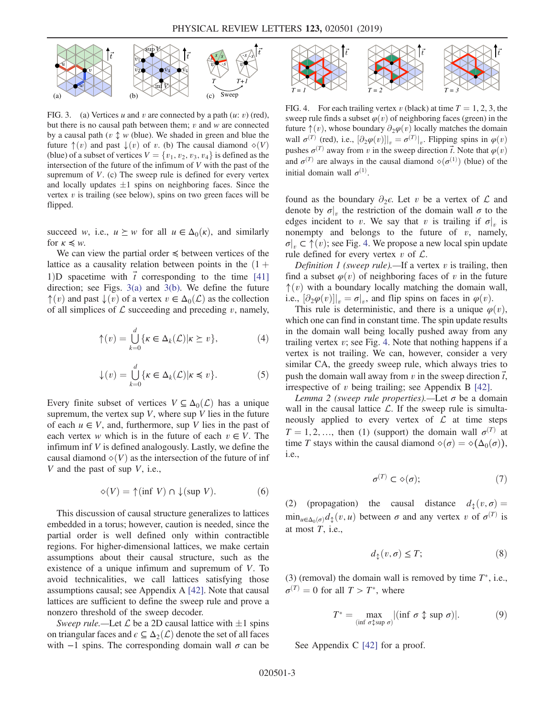<span id="page-2-0"></span>

FIG. 3. (a) Vertices u and v are connected by a path  $(u: v)$  (red), but there is no causal path between them;  $v$  and  $w$  are connected by a causal path ( $v \uparrow w$  (blue). We shaded in green and blue the future  $\uparrow$ (*v*) and past  $\downarrow$ (*v*) of *v*. (b) The causal diamond  $\diamond$ (*V*) (blue) of a subset of vertices  $V = \{v_1, v_2, v_3, v_4\}$  is defined as the intersection of the future of the infimum of  $V$  with the past of the supremum of  $V$ . (c) The sweep rule is defined for every vertex and locally updates  $\pm 1$  spins on neighboring faces. Since the vertex  $v$  is trailing (see below), spins on two green faces will be flipped.

succeed w, i.e.,  $u \succeq w$  for all  $u \in \Delta_0(\kappa)$ , and similarly for  $\kappa \leq w$ .

We can view the partial order ≼ between vertices of the lattice as a causality relation between points in the  $(1 +$ 1)D spacetime with  $\vec{t}$  corresponding to the time [\[41\]](#page-4-13) direction; see Figs. [3\(a\)](#page-2-0) and [3\(b\)](#page-2-0). We define the future  $\uparrow(v)$  and past  $\downarrow(v)$  of a vertex  $v \in \Delta_0(\mathcal{L})$  as the collection of all simplices of  $\mathcal L$  succeeding and preceding v, namely,

$$
\uparrow(v) = \bigcup_{k=0}^{d} \{ \kappa \in \Delta_k(\mathcal{L}) | \kappa \ge v \},
$$
 (4)

$$
\downarrow(v) = \bigcup_{k=0}^{d} \{ \kappa \in \Delta_k(\mathcal{L}) | \kappa \leq v \}. \tag{5}
$$

Every finite subset of vertices  $V \subseteq \Delta_0(\mathcal{L})$  has a unique supremum, the vertex sup  $V$ , where sup  $V$  lies in the future of each  $u \in V$ , and, furthermore, sup V lies in the past of each vertex w which is in the future of each  $v \in V$ . The infimum inf  $V$  is defined analogously. Lastly, we define the causal diamond  $\diamond(V)$  as the intersection of the future of inf V and the past of sup V, i.e.,

$$
\diamond(V) = \uparrow(\inf V) \cap \downarrow(\sup V). \tag{6}
$$

This discussion of causal structure generalizes to lattices embedded in a torus; however, caution is needed, since the partial order is well defined only within contractible regions. For higher-dimensional lattices, we make certain assumptions about their causal structure, such as the existence of a unique infimum and supremum of V. To avoid technicalities, we call lattices satisfying those assumptions causal; see Appendix A [\[42\].](#page-4-14) Note that causal lattices are sufficient to define the sweep rule and prove a nonzero threshold of the sweep decoder.

Sweep rule.—Let  $\mathcal L$  be a 2D causal lattice with  $\pm 1$  spins on triangular faces and  $\epsilon \subseteq \Delta_2(\mathcal{L})$  denote the set of all faces with  $-1$  spins. The corresponding domain wall  $\sigma$  can be

<span id="page-2-1"></span>

FIG. 4. For each trailing vertex v (black) at time  $T = 1, 2, 3$ , the sweep rule finds a subset  $\varphi(v)$  of neighboring faces (green) in the future  $\uparrow$ (*v*), whose boundary  $\partial_2\varphi(v)$  locally matches the domain wall  $\sigma^{(T)}$  (red), i.e.,  $[\partial_2 \varphi(v)]|_v = \sigma^{(T)}|_v$ . Flipping spins in  $\varphi(v)$ <br>puchos  $\sigma^{(T)}$  over from *n* in the sweap direction  $\vec{\tau}$ . Note that  $\varphi(v)$ . pushes  $\sigma^{(T)}$  away from v in the sweep direction  $\vec{t}$ . Note that  $\varphi(v)$ and  $\sigma^{(T)}$  are always in the causal diamond  $\diamond(\sigma^{(1)})$  (blue) of the initial domain wall  $\sigma^{(1)}$ initial domain wall  $\sigma^{(1)}$ .

found as the boundary  $\partial_2 \epsilon$ . Let v be a vertex of  $\mathcal L$  and denote by  $\sigma|_v$  the restriction of the domain wall  $\sigma$  to the edges incident to v. We say that v is trailing if  $\sigma|_v$  is nonempty and belongs to the future of  $v$ , namely,  $\sigma|_{v} \subset \uparrow(v)$ ; see Fig. [4](#page-2-1). We propose a new local spin update rule defined for every vertex  $v$  of  $\mathcal{L}$ .

Definition 1 (sweep rule).—If a vertex  $v$  is trailing, then find a subset  $\varphi(v)$  of neighboring faces of v in the future  $\uparrow$ (*v*) with a boundary locally matching the domain wall, i.e.,  $\left[\partial_2\varphi(v)\right]_v = \sigma|_v$ , and flip spins on faces in  $\varphi(v)$ .

This rule is deterministic, and there is a unique  $\varphi(v)$ , which one can find in constant time. The spin update results in the domain wall being locally pushed away from any trailing vertex  $v$ ; see Fig. [4.](#page-2-1) Note that nothing happens if a vertex is not trailing. We can, however, consider a very similar CA, the greedy sweep rule, which always tries to push the domain wall away from v in the sweep direction  $\vec{t}$ , irrespective of  $v$  being trailing; see Appendix B  $[42]$ .

Lemma 2 (sweep rule properties).—Let  $\sigma$  be a domain wall in the causal lattice  $\mathcal{L}$ . If the sweep rule is simultaneously applied to every vertex of  $\mathcal L$  at time steps  $T = 1, 2, \dots$ , then (1) (support) the domain wall  $\sigma^{(T)}$  at time T stays within the causal diamond  $\diamond(\sigma) = \diamond(\Delta_0(\sigma))$ , i.e.,

$$
\sigma^{(T)} \subset \diamond(\sigma); \tag{7}
$$

(2) (propagation) the causal distance  $d_{\uparrow}(v, \sigma) =$  $\min_{u \in \Delta_0(\sigma)} d_{\updownarrow}(v, u)$  between  $\sigma$  and any vertex v of  $\sigma^{(T)}$  is at most  $T$ , i.e.,

$$
d_{\updownarrow}(v, \sigma) \leq T; \tag{8}
$$

(3) (removal) the domain wall is removed by time  $T^*$ , i.e.,  $\sigma^{(T)}=0$  for all  $T>T^*$ , where

$$
T^* = \max_{\left(\inf \sigma \updownarrow \sup \sigma\right)} |(\inf \sigma \updownarrow \sup \sigma)|. \tag{9}
$$

See Appendix C [\[42\]](#page-4-14) for a proof.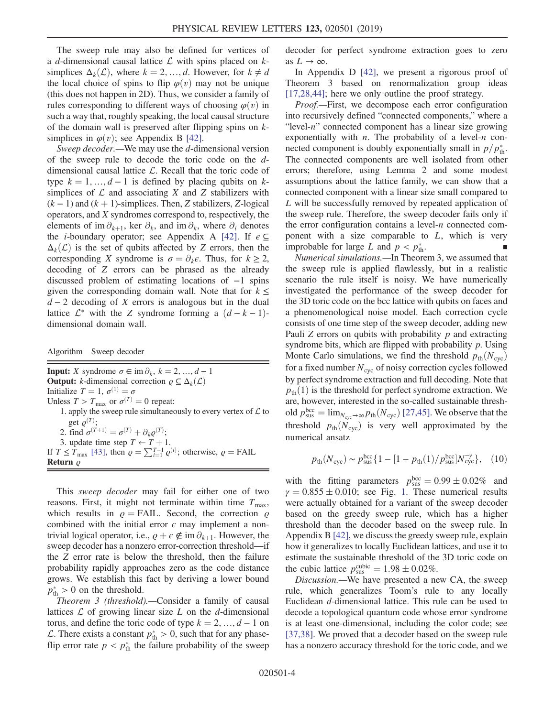The sweep rule may also be defined for vertices of a d-dimensional causal lattice  $\mathcal L$  with spins placed on  $k$ simplices  $\Delta_k(\mathcal{L})$ , where  $k = 2, ..., d$ . However, for  $k \neq d$ the local choice of spins to flip  $\varphi(v)$  may not be unique (this does not happen in 2D). Thus, we consider a family of rules corresponding to different ways of choosing  $\varphi(v)$  in such a way that, roughly speaking, the local causal structure of the domain wall is preserved after flipping spins on ksimplices in  $\varphi(v)$ ; see Appendix B [\[42\].](#page-4-14)

Sweep decoder.—We may use the d-dimensional version of the sweep rule to decode the toric code on the ddimensional causal lattice  $\mathcal{L}$ . Recall that the toric code of type  $k = 1, ..., d - 1$  is defined by placing qubits on ksimplices of  $\mathcal L$  and associating X and Z stabilizers with  $(k-1)$  and  $(k+1)$ -simplices. Then, Z stabilizers, Z-logical operators, and X syndromes correspond to, respectively, the elements of im  $\partial_{k+1}$ , ker  $\partial_k$ , and im  $\partial_k$ , where  $\partial_i$  denotes the *i*-boundary operator; see Appendix A [\[42\].](#page-4-14) If  $\epsilon \subseteq$  $\Delta_k(\mathcal{L})$  is the set of qubits affected by Z errors, then the corresponding X syndrome is  $\sigma = \partial_k \epsilon$ . Thus, for  $k \geq 2$ , decoding of Z errors can be phrased as the already discussed problem of estimating locations of −1 spins given the corresponding domain wall. Note that for  $k \leq$  $d-2$  decoding of X errors is analogous but in the dual lattice  $\mathcal{L}^*$  with the Z syndrome forming a  $(d - k - 1)$ dimensional domain wall.

Algorithm Sweep decoder

**Input:** X syndrome  $\sigma \in \text{im } \partial_k$ ,  $k = 2, ..., d - 1$ **Output:** k-dimensional correction  $\varrho \subseteq \Delta_k(\mathcal{L})$ Initialize  $T = 1$ ,  $\sigma^{(1)} = \sigma$ Unless  $T > T_{\text{max}}$  or  $\sigma^{(T)} = 0$  repeat: 1. apply the sweep rule simultaneously to every vertex of  $\mathcal L$  to get  $\varrho^{(T)}$ ; 2. find  $\sigma^{(T+1)} = \sigma^{(T)} + \partial_k \varrho^{(T)}$ ;<br>3. undate time step  $T \leftarrow T + 1$ 3. update time step  $T \leftarrow T + 1$ . If  $T \leq \hat{T}_{\text{max}}$  [\[43\]](#page-4-17), then  $\varrho = \sum_{i=1}^{T-1} \varrho^{(i)}$ ; otherwise,  $\varrho = \text{FAIL}$ Return  $\varrho$ 

This sweep decoder may fail for either one of two reasons. First, it might not terminate within time  $T_{\text{max}}$ , which results in  $\rho = \text{FAIL}$ . Second, the correction  $\rho$ combined with the initial error  $\epsilon$  may implement a nontrivial logical operator, i.e.,  $\rho + \epsilon \notin \text{im } \partial_{k+1}$ . However, the sweep decoder has a nonzero error-correction threshold—if the Z error rate is below the threshold, then the failure probability rapidly approaches zero as the code distance grows. We establish this fact by deriving a lower bound  $p_{\text{th}}^* > 0$  on the threshold.

Theorem 3 (threshold).—Consider a family of causal lattices  $\mathcal L$  of growing linear size  $L$  on the  $d$ -dimensional torus, and define the toric code of type  $k = 2, ..., d - 1$  on  $\mathcal{L}$ . There exists a constant  $p_{\text{th}}^* > 0$ , such that for any phaseflip error rate  $p < p_{\text{th}}^*$  the failure probability of the sweep decoder for perfect syndrome extraction goes to zero as  $L \to \infty$ .

In Appendix D [\[42\]](#page-4-14), we present a rigorous proof of Theorem 3 based on renormalization group ideas [\[17,28,44\]](#page-4-15); here we only outline the proof strategy.

Proof.—First, we decompose each error configuration into recursively defined "connected components," where a "level-n" connected component has a linear size growing exponentially with *n*. The probability of a level-*n* connected component is doubly exponentially small in  $p/p_{\text{th}}^*$ . The connected components are well isolated from other errors; therefore, using Lemma 2 and some modest assumptions about the lattice family, we can show that a connected component with a linear size small compared to L will be successfully removed by repeated application of the sweep rule. Therefore, the sweep decoder fails only if the error configuration contains a level-n connected component with a size comparable to  $L$ , which is very improbable for large L and  $p < p_{\text{th}}^*$ .  $\mathbf{t}$   $\mathbf{h}$ .

Numerical simulations.—In Theorem 3, we assumed that the sweep rule is applied flawlessly, but in a realistic scenario the rule itself is noisy. We have numerically investigated the performance of the sweep decoder for the 3D toric code on the bcc lattice with qubits on faces and a phenomenological noise model. Each correction cycle consists of one time step of the sweep decoder, adding new Pauli  $Z$  errors on qubits with probability  $p$  and extracting syndrome bits, which are flipped with probability  $p$ . Using Monte Carlo simulations, we find the threshold  $p_{\text{th}}(N_{\text{cyc}})$ for a fixed number  $N_{\text{cyc}}$  of noisy correction cycles followed by perfect syndrome extraction and full decoding. Note that  $p_{\text{th}}(1)$  is the threshold for perfect syndrome extraction. We are, however, interested in the so-called sustainable threshold  $p_{\text{sus}}^{\text{bcc}} = \lim_{N_{\text{cyc}} \to \infty} p_{\text{th}}(N_{\text{cyc}})$  [\[27,45\]](#page-4-16). We observe that the threshold  $p_{\text{th}}(N_{\text{cyc}})$  is very well approximated by the numerical ansatz

<span id="page-3-0"></span>
$$
p_{\text{th}}(N_{\text{cyc}}) \sim p_{\text{sus}}^{\text{bcc}} \{ 1 - [1 - p_{\text{th}}(1) / p_{\text{sus}}^{\text{bcc}}] N_{\text{cyc}}^{-\gamma} \},
$$
 (10)

with the fitting parameters  $p_{\text{uss}}^{\text{bcc}} = 0.99 \pm 0.02\%$  and  $\gamma = 0.855 \pm 0.010$ ; see Fig. 1. These numerical results  $\gamma = 0.855 \pm 0.010$ ; see Fig. [1.](#page-0-0) These numerical results were actually obtained for a variant of the sweep decoder based on the greedy sweep rule, which has a higher threshold than the decoder based on the sweep rule. In Appendix B [\[42\],](#page-4-14) we discuss the greedy sweep rule, explain how it generalizes to locally Euclidean lattices, and use it to estimate the sustainable threshold of the 3D toric code on the cubic lattice  $p_{\text{sus}}^{\text{cubic}} = 1.98 \pm 0.02\%$ .<br>Discussion — We have presented a neg

Discussion.—We have presented a new CA, the sweep rule, which generalizes Toom's rule to any locally Euclidean d-dimensional lattice. This rule can be used to decode a topological quantum code whose error syndrome is at least one-dimensional, including the color code; see [\[37,38\]](#page-4-9). We proved that a decoder based on the sweep rule has a nonzero accuracy threshold for the toric code, and we